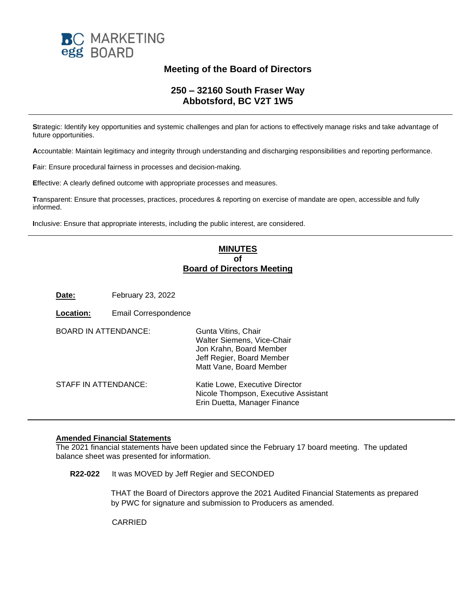

## **Meeting of the Board of Directors**

## **250 – 32160 South Fraser Way Abbotsford, BC V2T 1W5**

**S**trategic: Identify key opportunities and systemic challenges and plan for actions to effectively manage risks and take advantage of future opportunities.

**A**ccountable: Maintain legitimacy and integrity through understanding and discharging responsibilities and reporting performance.

**F**air: Ensure procedural fairness in processes and decision-making.

**E**ffective: A clearly defined outcome with appropriate processes and measures.

**T**ransparent: Ensure that processes, practices, procedures & reporting on exercise of mandate are open, accessible and fully informed.

**I**nclusive: Ensure that appropriate interests, including the public interest, are considered.

## **MINUTES of Board of Directors Meeting**

**Date:** February 23, 2022

| .ocation:                   | <b>Email Correspondence</b> |                                                                                                                                      |
|-----------------------------|-----------------------------|--------------------------------------------------------------------------------------------------------------------------------------|
| <b>BOARD IN ATTENDANCE:</b> |                             | Gunta Vitins, Chair<br>Walter Siemens, Vice-Chair<br>Jon Krahn, Board Member<br>Jeff Regier, Board Member<br>Matt Vane, Board Member |
| STAFF IN ATTENDANCE:        |                             | Katie Lowe, Executive Director<br>Nicole Thompson, Executive Assistant<br>Erin Duetta, Manager Finance                               |

## **Amended Financial Statements**

The 2021 financial statements have been updated since the February 17 board meeting. The updated balance sheet was presented for information.

**R22-022** It was MOVED by Jeff Regier and SECONDED

THAT the Board of Directors approve the 2021 Audited Financial Statements as prepared by PWC for signature and submission to Producers as amended.

CARRIED